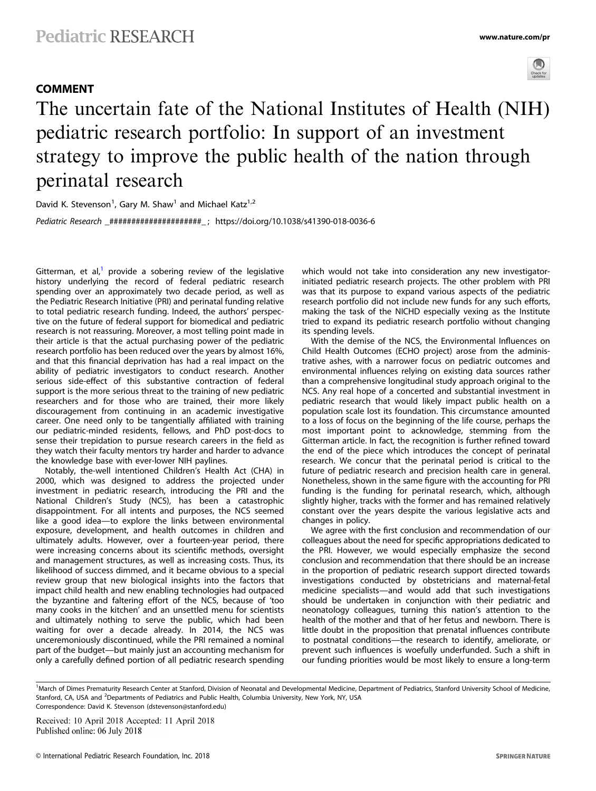## COMMENT



# The uncertain fate of the National Institutes of Health (NIH) pediatric research portfolio: In support of an investment strategy to improve the public health of the nation through perinatal research

David K. Stevenson<sup>1</sup>, Gary M. Shaw<sup>1</sup> and Michael Katz<sup>1,2</sup> Pediatric Research \_#####################\_ ; https://doi.org/10.1038/s41390-018-0036-6

Gitterman, et al,<sup>1</sup> provide a sobering review of the legislative history underlying the record of federal pediatric research spending over an approximately two decade period, as well as the Pediatric Research Initiative (PRI) and perinatal funding relative to total pediatric research funding. Indeed, the authors' perspective on the future of federal support for biomedical and pediatric research is not reassuring. Moreover, a most telling point made in their article is that the actual purchasing power of the pediatric research portfolio has been reduced over the years by almost 16%, and that this financial deprivation has had a real impact on the ability of pediatric investigators to conduct research. Another serious side-effect of this substantive contraction of federal support is the more serious threat to the training of new pediatric researchers and for those who are trained, their more likely discouragement from continuing in an academic investigative career. One need only to be tangentially affiliated with training our pediatric-minded residents, fellows, and PhD post-docs to sense their trepidation to pursue research careers in the field as they watch their faculty mentors try harder and harder to advance the knowledge base with ever-lower NIH paylines.

Notably, the-well intentioned Children's Health Act (CHA) in 2000, which was designed to address the projected under investment in pediatric research, introducing the PRI and the National Children's Study (NCS), has been a catastrophic disappointment. For all intents and purposes, the NCS seemed like a good idea—to explore the links between environmental exposure, development, and health outcomes in children and ultimately adults. However, over a fourteen-year period, there were increasing concerns about its scientific methods, oversight and management structures, as well as increasing costs. Thus, its likelihood of success dimmed, and it became obvious to a special review group that new biological insights into the factors that impact child health and new enabling technologies had outpaced the byzantine and faltering effort of the NCS, because of 'too many cooks in the kitchen' and an unsettled menu for scientists and ultimately nothing to serve the public, which had been waiting for over a decade already. In 2014, the NCS was unceremoniously discontinued, while the PRI remained a nominal part of the budget—but mainly just an accounting mechanism for only a carefully defined portion of all pediatric research spending which would not take into consideration any new investigatorinitiated pediatric research projects. The other problem with PRI was that its purpose to expand various aspects of the pediatric research portfolio did not include new funds for any such efforts, making the task of the NICHD especially vexing as the Institute tried to expand its pediatric research portfolio without changing its spending levels.

With the demise of the NCS, the Environmental Influences on Child Health Outcomes (ECHO project) arose from the administrative ashes, with a narrower focus on pediatric outcomes and environmental influences relying on existing data sources rather than a comprehensive longitudinal study approach original to the NCS. Any real hope of a concerted and substantial investment in pediatric research that would likely impact public health on a population scale lost its foundation. This circumstance amounted to a loss of focus on the beginning of the life course, perhaps the most important point to acknowledge, stemming from the Gitterman article. In fact, the recognition is further refined toward the end of the piece which introduces the concept of perinatal research. We concur that the perinatal period is critical to the future of pediatric research and precision health care in general. Nonetheless, shown in the same figure with the accounting for PRI funding is the funding for perinatal research, which, although slightly higher, tracks with the former and has remained relatively constant over the years despite the various legislative acts and changes in policy.

We agree with the first conclusion and recommendation of our colleagues about the need for specific appropriations dedicated to the PRI. However, we would especially emphasize the second conclusion and recommendation that there should be an increase in the proportion of pediatric research support directed towards investigations conducted by obstetricians and maternal-fetal medicine specialists—and would add that such investigations should be undertaken in conjunction with their pediatric and neonatology colleagues, turning this nation's attention to the health of the mother and that of her fetus and newborn. There is little doubt in the proposition that prenatal influences contribute to postnatal conditions—the research to identify, ameliorate, or prevent such influences is woefully underfunded. Such a shift in our funding priorities would be most likely to ensure a long-term

<sup>1</sup>March of Dimes Prematurity Research Center at Stanford, Division of Neonatal and Developmental Medicine, Department of Pediatrics, Stanford University School of Medicine, Stanford, CA, USA and <sup>2</sup>Departments of Pediatrics and Public Health, Columbia University, New York, NY, USA Correspondence: David K. Stevenson ([dstevenson@stanford.edu](mailto:dstevenson@stanford.edu))

Received: 10 April 2018 Accepted: 11 April 2018